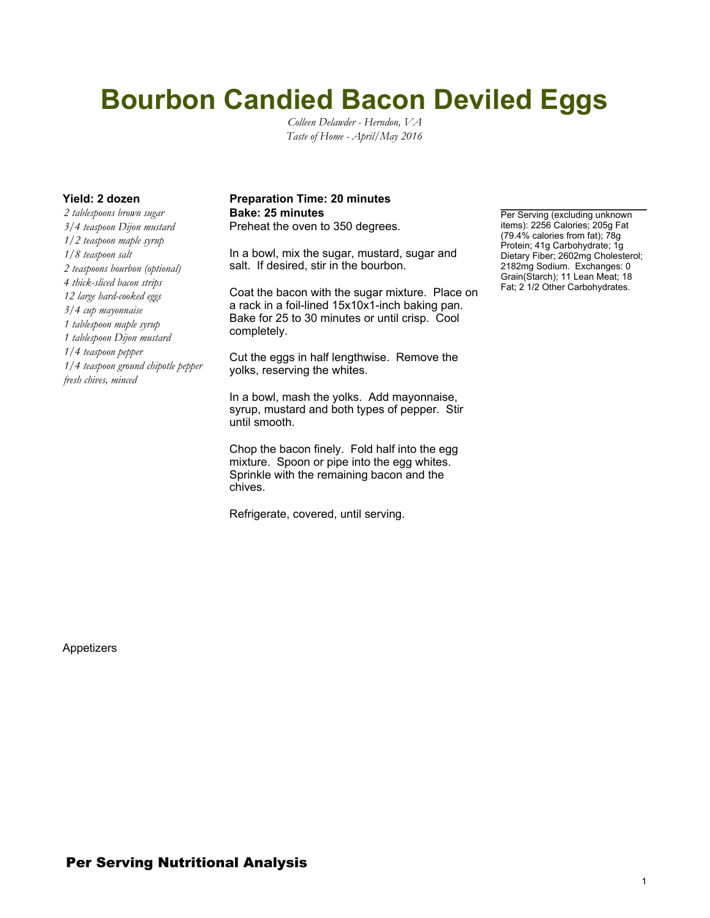## **Bourbon Candied Bacon Deviled Eggs**

*Colleen Delawder - Herndon, VA Taste of Home - April/May 2016*

*2 tablespoons brown sugar 3/4 teaspoon Dijon mustard 1/2 teaspoon maple syrup 1/8 teaspoon salt 2 teaspoons bourbon (optional) 4 thick-sliced bacon strips 12 large hard-cooked eggs 3/4 cup mayonnaise 1 tablespoon maple syrup 1 tablespoon Dijon mustard 1/4 teaspoon pepper 1/4 teaspoon ground chipotle pepper fresh chives, minced*

## **Yield: 2 dozen Preparation Time: 20 minutes Bake: 25 minutes Per Serving (excluding unknown**)

Preheat the oven to 350 degrees.

In a bowl, mix the sugar, mustard, sugar and salt. If desired, stir in the bourbon.

Coat the bacon with the sugar mixture. Place on a rack in a foil-lined 15x10x1-inch baking pan. Bake for 25 to 30 minutes or until crisp. Cool completely.

Cut the eggs in half lengthwise. Remove the yolks, reserving the whites.

In a bowl, mash the yolks. Add mayonnaise, syrup, mustard and both types of pepper. Stir until smooth.

Chop the bacon finely. Fold half into the egg mixture. Spoon or pipe into the egg whites. Sprinkle with the remaining bacon and the chives.

Refrigerate, covered, until serving.

items): 2256 Calories; 205g Fat (79.4% calories from fat); 78g Protein; 41g Carbohydrate; 1g Dietary Fiber; 2602mg Cholesterol; 2182mg Sodium. Exchanges: 0 Grain(Starch); 11 Lean Meat; 18 Fat; 2 1/2 Other Carbohydrates.

Appetizers